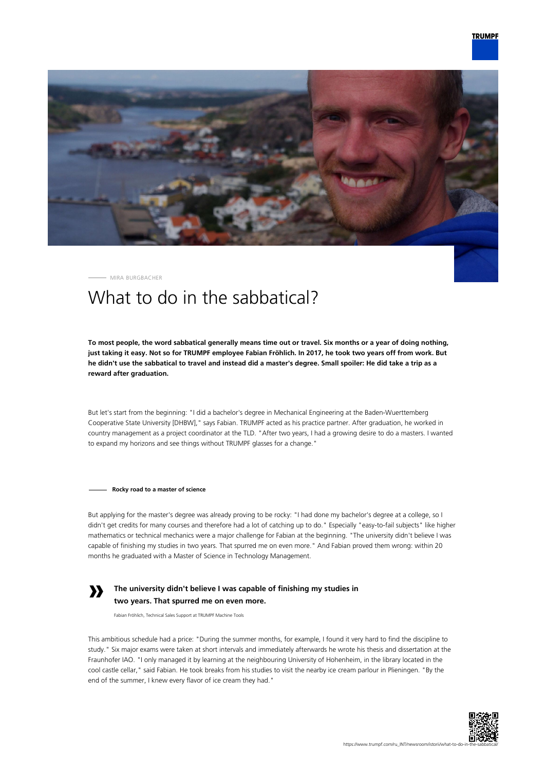

MIRA BURGBACHER

# What to do in the sabbatical?

**To most people, the word sabbatical generally means time out or travel. Six months or a year of doing nothing, just taking it easy. Not so for TRUMPF employee Fabian Fröhlich. In 2017, he took two years off from work. But he didn't use the sabbatical to travel and instead did a master's degree. Small spoiler: He did take a trip as a reward after graduation.**

But let's start from the beginning: "I did a bachelor's degree in Mechanical Engineering at the Baden-Wuerttemberg Cooperative State University [DHBW]," says Fabian. TRUMPF acted as his practice partner. After graduation, he worked in country management as a project coordinator at the TLD. "After two years, I had a growing desire to do a masters. I wanted to expand my horizons and see things without TRUMPF glasses for a change."

**Rocky road to a master of science**

But applying for the master's degree was already proving to be rocky: "I had done my bachelor's degree at a college, so I didn't get credits for many courses and therefore had a lot of catching up to do." Especially "easy-to-fail subjects" like higher mathematics or technical mechanics were a major challenge for Fabian at the beginning. "The university didn't believe I was capable of finishing my studies in two years. That spurred me on even more." And Fabian proved them wrong: within 20 months he graduated with a Master of Science in Technology Management.

## **»**

### **The university didn't believe I was capable of finishing my studies in two years. That spurred me on even more.**

Fabian Fröhlich, Technical Sales Support at TRUMPF Machine Tools

This ambitious schedule had a price: "During the summer months, for example, I found it very hard to find the discipline to study." Six major exams were taken at short intervals and immediately afterwards he wrote his thesis and dissertation at the Fraunhofer IAO. "I only managed it by learning at the neighbouring University of Hohenheim, in the library located in the cool castle cellar," said Fabian. He took breaks from his studies to visit the nearby ice cream parlour in Plieningen. "By the end of the summer, I knew every flavor of ice cream they had."

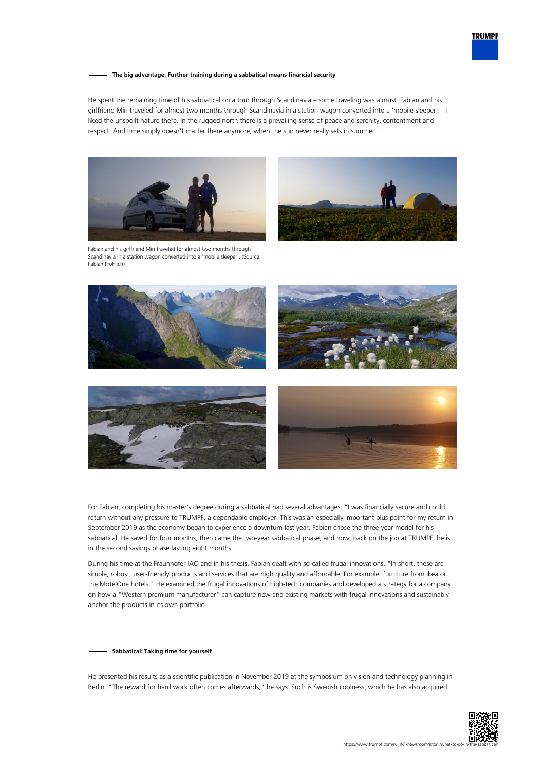

### **The big advantage: Further training during a sabbatical means financial security**

He spent the remaining time of his sabbatical on a tour through Scandinavia – some traveling was a must. Fabian and his girlfriend Miri traveled for almost two months through Scandinavia in a station wagon converted into a 'mobile sleeper'. "I liked the unspoilt nature there. In the rugged north there is a prevailing sense of peace and serenity, contentment and respect. And time simply doesn't matter there anymore, when the sun never really sets in summer."



Fabian and his girlfriend Miri traveled for almost two months through Scandinavia in a station wagon converted into a 'mobile sleeper'. (Source: Fabian Fröhlich)









For Fabian, completing his master's degree during a sabbatical had several advantages: "I was financially secure and could return without any pressure to TRUMPF, a dependable employer. This was an especially important plus point for my return in September 2019 as the economy began to experience a downturn last year. Fabian chose the three-year model for his sabbatical. He saved for four months, then came the two-year sabbatical phase, and now, back on the job at TRUMPF, he is in the second savings phase lasting eight months.

During his time at the Fraunhofer IAO and in his thesis, Fabian dealt with so-called frugal innovations. "In short, these are simple, robust, user-friendly products and services that are high quality and affordable. For example: furniture from Ikea or the MotelOne hotels." He examined the frugal innovations of high-tech companies and developed a strategy for a company on how a "Western premium manufacturer" can capture new and existing markets with frugal innovations and sustainably anchor the products in its own portfolio.

#### **Sabbatical: Taking time for yourself**

He presented his results as a scientific publication in November 2019 at the symposium on vision and technology planning in Berlin. "The reward for hard work often comes afterwards," he says. Such is Swedish coolness, which he has also acquired: